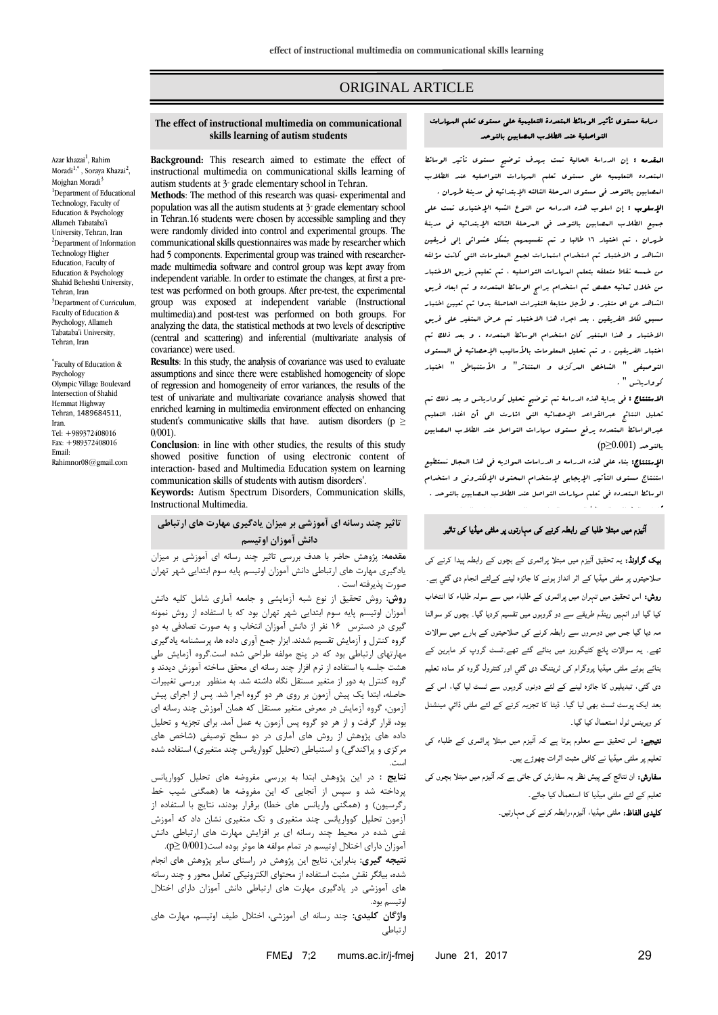# ORIGINAL ARTICLE

#### **The effect of instructional multimedia on communicational skills learning of autism students**

Azar khazai<sup>1</sup>, Rahim Moradi<sup>1,\*</sup> , Soraya Khazai<sup>2</sup>, Mojghan Moradi<sup>3</sup> <sup>1</sup>Department of Educational Technology, Faculty of Education & Psychology Allameh Tabataba'i University, Tehran, Iran <sup>2</sup>Department of Information Technology Higher Education, Faculty of Education & Psychology Shahid Beheshti University, Tehran, Iran <sup>3</sup>Department of Curriculum. Faculty of Education & Psychology, Allameh Tabataba'i University, Tehran, Iran

\* Faculty of Education & Psychology Olympic Village Boulevard Intersection of Shahid Hemmat Highway Tehran, 1489684511, Iran. Tel: +989372408016 Fax: +989372408016 Email: Rahimnor08@gmail.com

**Background:** This research aimed to estimate the effect of instructional multimedia on communicational skills learning of autism students at  $3^{\circ}$  grade elementary school in Tehran.

**Methods**: The method of this research was quasi- experimental and population was all the autism students at  $3<sup>o</sup>$  grade elementary school in Tehran.16 students were chosen by accessible sampling and they were randomly divided into control and experimental groups. The communicational skills questionnaires was made by researcher which had 5 components. Experimental group was trained with researchermade multimedia software and control group was kept away from independent variable. In order to estimate the changes, at first a pretest was performed on both groups. After pre-test, the experimental group was exposed at independent variable (Instructional multimedia).and post-test was performed on both groups. For analyzing the data, the statistical methods at two levels of descriptive (central and scattering) and inferential (multivariate analysis of covariance) were used.

**Results**: In this study, the analysis of covariance was used to evaluate assumptions and since there were established homogeneity of slope of regression and homogeneity of error variances, the results of the test of univariate and multivariate covariance analysis showed that enriched learning in multimedia environment effected on enhancing student's communicative skills that have. autism disorders (p ≥ 0/001).

**Conclusion**: in line with other studies, the results of this study showed positive function of using electronic content of interaction- based and Multimedia Education system on learning communication skills of students with autism disorders'.

**Keywords:** Autism Spectrum Disorders, Communication skills, Instructional Multimedia.

**تاثیر چند رسانه ای آموزشی بر میزان یادگیری مهارت های ارتباطی دانش آموزان اوتیسم**

**مقدمه:** پژوهش حاضر با هدف بررسی تاثیر چند رسانه ای آموزشی بر میزان یادگیری مهارت های ارتباطی دانش آموزان اوتیسم پایه سوم ابتدایی شهر تهران صورت پذیرفته است .

**روش:** روش تحقیق از نوع شبه آزمایشی و جامعه آماری شامل کلیه دانش آموزان اوتیسم پایه سوم ابتدایی شهر تهران بود که با استفاده از روش نمونه گیری در دسترس 61 نفر از دانش آموزان انتخاب و به صورت تصادفی به دو گروه کنترل و آزمایش تقسیم شدند. ابزار جمع آوری داده ها، پرسشنامه یادگیری مهارتهای ارتباطی بود که در پنج مولفه طراحی شده است.گروه آزمایش طی هشت جلسه با استفاده از نرم افزار چند رسانه ای محقق ساخته آموزش دیدند و گروه کنترل به دور از متغیر مستقل نگاه داشته شد. به منظور بررسی تغییرات حاصله، ابتدا یک پیش آزمون بر روی هر دو گروه اجرا شد. پس از اجرای پیش آزمون، گروه آزمایش در معرض متغیر مستقل که همان آموزش چند رسانه ای بود، قرار گرفت و از هر دو گروه پس آزمون به عمل آمد. برای تجزیه و تحلیل داده های پژوهش از روش های آماری در دو سطح توصیفی )شاخص های مرکزی و پراکندگی) و استنباطی (تحلیل کوواریانس چند متغیری) استفاده شده است.

**نتایج :** در این پژوهش ابتدا به بررسی مفروضه های تحلیل کوواریانس پرداخته شد و سپس از آنجایی که این مفروضه ها (همگنی شیب خط رگرسیون) و (همگنی واریانس های خطا) برقرار بودند، نتایج با استفاده از آزمون تحلیل کوواریانس چند متغیری و تک متغیری نشان داد که آموزش غنی شده در محیط چند رسانه ای بر افزایش مهارت های ارتباطی دانش

آموزان دارای اختالل اوتیسم در تمام مولفه ها موثر بوده است)0/001 ≤p). **نتیجه گیری:** بنابراین، نتایج این پژوهش در راستای سایر پژوهش های انجام شده، بیانگر نقش مثبت استفاده از محتوای الکترونیکی تعامل محور و چند رسانه های آموزشی در یادگیری مهارت های ارتباطی دانش آموزان دارای اختالل اوتیسم بود.

**واژگان کلیدی:** چند رسانه ای آموزشی، اختالل طیف اوتیسم، مهارت های ارتباطی

### دراسة مستوی تأثیر الوسائط المتعددة التعلیمیة علی مستوی تعلم المهارات التواصلیة عند الطالب المصابین بالتوحد

المقدمه : إن الدراسة الحالیة تمت بهدف توضیح مستوی تأثیر الوسائط المتعدده التعلیمیه علی مستوی تعلم المهارات التواصلیه عند الطالب المصابین بالتوحد فی مستوی المرحلة الثالثه اإلبتدائیه فی مدینة طهران .

اإلسلوب : إن اسلوب هذه الدراسه من النوع الشبه اإلختیاری تمت علی جمیع الطالب المصابین بالتوحد فی المرحلة الثالثه اإلبتدائیه فی مدینة طهران ، تم اختیار 61 طالبا و تم تقسیمهم بشکل عشوائی إلی فریقین الشاهد و االختبار تم استخدام استمارات لجمع المعلومات التی کانت مؤلفه من خمسه نقاط متعلقه بتعلم المهارات التواصلیه ، تم تعلیم فریق االختبار من خالل ثمانیه حصص تم استخدام برامج الوسائط المتعدده و تم ابعاد فریق الشاهد عن ای متغیر. و لأجل متابعة التغیرات الحاصلة بدوا تب تعیین اختبار مسبق لکال الفریقین . بعد اجراء هذا االختبار تم عرض المتغیر علی فریق االختبار و هذا المتغیر کان استخدام الوسائط المتعدده . و بعد ذلک تم اختبار الفریقین ، و تبع تحلیل البعلومات بالأبالیب الإحصائیه فی البستوی التوصیفی " الشاخص المرکزی و المتناثر" و األستنباطی " اختبار کوواریانس " .

االستنتاج : فی بدایة هذه الدراسة تم توضیح تحلیل کوواریانس و بعد ذلک تم تحلیل النتائج عبرالقواعد اإلحصائیه التی اشارت الی أن اغناء التعلیم عبرالواسائط المتعدده یرفع مستوی مهارات التواصل عند الطالب المصابین بالتوحد (0.001≤p(

اإلستنتاج: بناء علی هذه الدراسه و الدراسات الموازیه فی هذا المجال نستطیع استنتاج مستوی التأثیر اإلیجابی إلستخدام المحتوی اإللکترونی و استخدام الوسائط المتعدده فی تعلم مهارات التواصل عند الطالب المصابین بالتوحد .

## ا ٹیزم میں مبتلا طلبا کے رابطہ کرنے کی مہارتوں پر ملٹی میڈیا کی تاثیر

کلمات المفتاح : الوسائط المتعدده التعلیمیه ، التوحد، مهارات التواصل .

بیک گراونڈ: یہ تحقیق ا ٹیزم میں مبتلا پرائمری کے بچوں کے رابطہ پیدا کرنے کی صلاحیتوں پر ملٹی میڈیا کے اثر انداز ہونے کا جائزہ لینے کےلئے انجام دی گئي ہے۔ روش: اس تحقیق میں تہران میں پرائمری کے طلباء میں سے سولہ طلباء کا انتخاب کیا گيا اور انہیں رینڈم طریقے سے دو گروہوں میں تقسیم کردیا گیا۔ بچوں کو سوالنا مہ دیا گيا جس میں دوسروں سے رابطہ کرنے کی صلاحیتوں کے بارے میں سوالات تھے۔ یہ سوالات پانچ کٹیگوریز میں بنائے گئے تھے۔ٹسٹ گروپ کو ماہرین کے بنائے ہوئے ملٹی میڈیا پروگرام کی ٹریننگ دی گئي اور کنٹرول گروہ کو سادہ تعلیم دی گئی، تبدیلیوں کا جائزہ لینے کے لئے دونوں گروہوں سے ٹسٹ لیا گیا، اس کے بعد ایک پوسٹ ٹسٹ بھی لیا گيا۔ ڈیٹا کا تجزیہ کرنے کے لئے ملٹی ڈائي مینشنل کو ویرینس ٹول استعمال کیا گیا۔

نتیجے: اس تحقیق سے معلوم ہوتا ہے کہ ا ٹیزم میں مبتلا پرائمری کے طلباء کی تعلیم پر ملٹی میڈیا نے کافی مثبت اثرات چھوڑے ہیں۔

سفارش: ان نتائج کے پیش نظر یہ سفارش کی جاتی ہے کہ ا ٹیزم میں مبتلا بچوں کی تعلیم کے لئے ملٹی میڈیا کا استعمال کیا جائے۔

کلیدی الفاظ: ملٹی میڈیا، ا ٹیزم،رابطہ کرنے کی مہارتیں۔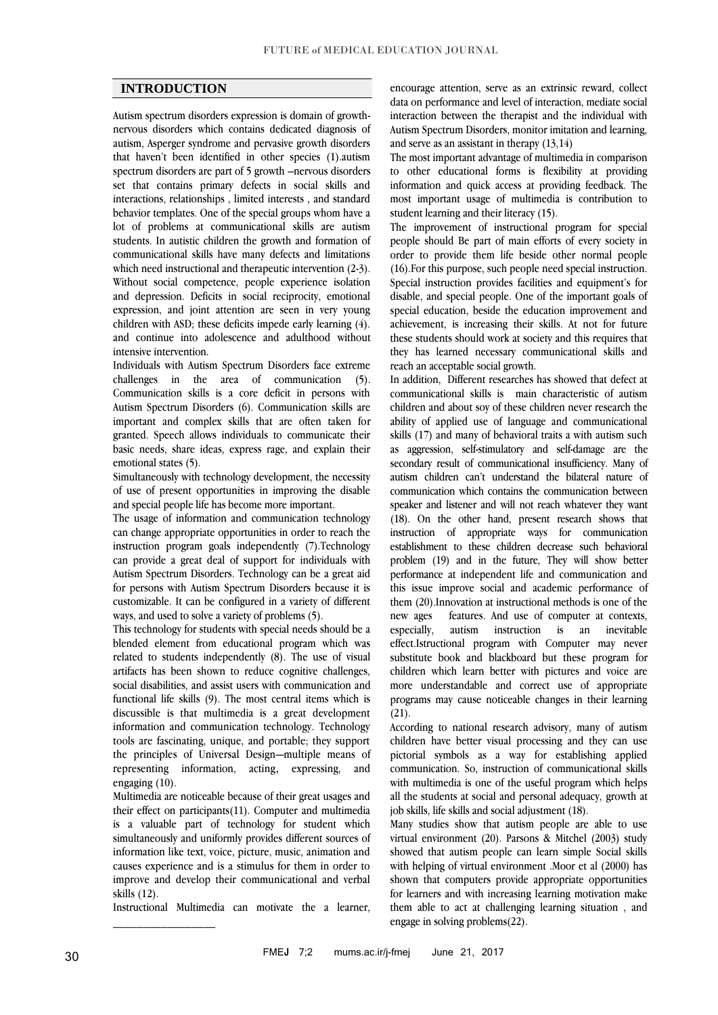# **INTRODUCTION**

Autism spectrum disorders expression is domain of growthnervous disorders which contains dedicated diagnosis of autism, Asperger syndrome and pervasive growth disorders that haven't been identified in other species (1).autism spectrum disorders are part of 5 growth –nervous disorders set that contains primary defects in social skills and interactions, relationships , limited interests , and standard behavior templates. One of the special groups whom have a lot of problems at communicational skills are autism students. In autistic children the growth and formation of communicational skills have many defects and limitations which need instructional and therapeutic intervention  $(2-3)$ . Without social competence, people experience isolation and depression. Deficits in social reciprocity, emotional expression, and joint attention are seen in very young children with ASD; these deficits impede early learning (4). and continue into adolescence and adulthood without intensive intervention.

Individuals with Autism Spectrum Disorders face extreme challenges in the area of communication (5). Communication skills is a core deficit in persons with Autism Spectrum Disorders (6). Communication skills are important and complex skills that are often taken for granted. Speech allows individuals to communicate their basic needs, share ideas, express rage, and explain their emotional states (5).

Simultaneously with technology development, the necessity of use of present opportunities in improving the disable and special people life has become more important.

The usage of information and communication technology can change appropriate opportunities in order to reach the instruction program goals independently (7).Technology can provide a great deal of support for individuals with Autism Spectrum Disorders. Technology can be a great aid for persons with Autism Spectrum Disorders because it is customizable. It can be configured in a variety of different ways, and used to solve a variety of problems (5).

This technology for students with special needs should be a blended element from educational program which was related to students independently (8). The use of visual artifacts has been shown to reduce cognitive challenges, social disabilities, and assist users with communication and functional life skills (9). The most central items which is discussible is that multimedia is a great development information and communication technology. Technology tools are fascinating, unique, and portable; they support the principles of Universal Design—multiple means of representing information, acting, expressing, and engaging (10).

Multimedia are noticeable because of their great usages and their effect on participants(11). Computer and multimedia is a valuable part of technology for student which simultaneously and uniformly provides different sources of information like text, voice, picture, music, animation and causes experience and is a stimulus for them in order to improve and develop their communicational and verbal skills (12).

Instructional Multimedia can motivate the a learner,

 $\frac{1}{2}$ 

encourage attention, serve as an extrinsic reward, collect data on performance and level of interaction, mediate social interaction between the therapist and the individual with Autism Spectrum Disorders, monitor imitation and learning, and serve as an assistant in therapy (13,14)

The most important advantage of multimedia in comparison to other educational forms is flexibility at providing information and quick access at providing feedback. The most important usage of multimedia is contribution to student learning and their literacy (15).

The improvement of instructional program for special people should Be part of main efforts of every society in order to provide them life beside other normal people (16).For this purpose, such people need special instruction. Special instruction provides facilities and equipment's for disable, and special people. One of the important goals of special education, beside the education improvement and achievement, is increasing their skills. At not for future these students should work at society and this requires that they has learned necessary communicational skills and reach an acceptable social growth.

In addition, Different researches has showed that defect at communicational skills is main characteristic of autism children and about soy of these children never research the ability of applied use of language and communicational skills (17) and many of behavioral traits a with autism such as aggression, self-stimulatory and self-damage are the secondary result of communicational insufficiency. Many of autism children can't understand the bilateral nature of communication which contains the communication between speaker and listener and will not reach whatever they want (18). On the other hand, present research shows that instruction of appropriate ways for communication establishment to these children decrease such behavioral problem (19) and in the future, They will show better performance at independent life and communication and this issue improve social and academic performance of them (20).Innovation at instructional methods is one of the new ages features. And use of computer at contexts, especially, autism instruction is an inevitable effect.Istructional program with Computer may never substitute book and blackboard but these program for children which learn better with pictures and voice are more understandable and correct use of appropriate programs may cause noticeable changes in their learning  $(21)$ .

According to national research advisory, many of autism children have better visual processing and they can use pictorial symbols as a way for establishing applied communication. So, instruction of communicational skills with multimedia is one of the useful program which helps all the students at social and personal adequacy, growth at job skills, life skills and social adjustment (18).

Many studies show that autism people are able to use virtual environment (20). Parsons & Mitchel (2003) study showed that autism people can learn simple Social skills with helping of virtual environment .Moor et al (2000) has shown that computers provide appropriate opportunities for learners and with increasing learning motivation make them able to act at challenging learning situation , and engage in solving problems(22).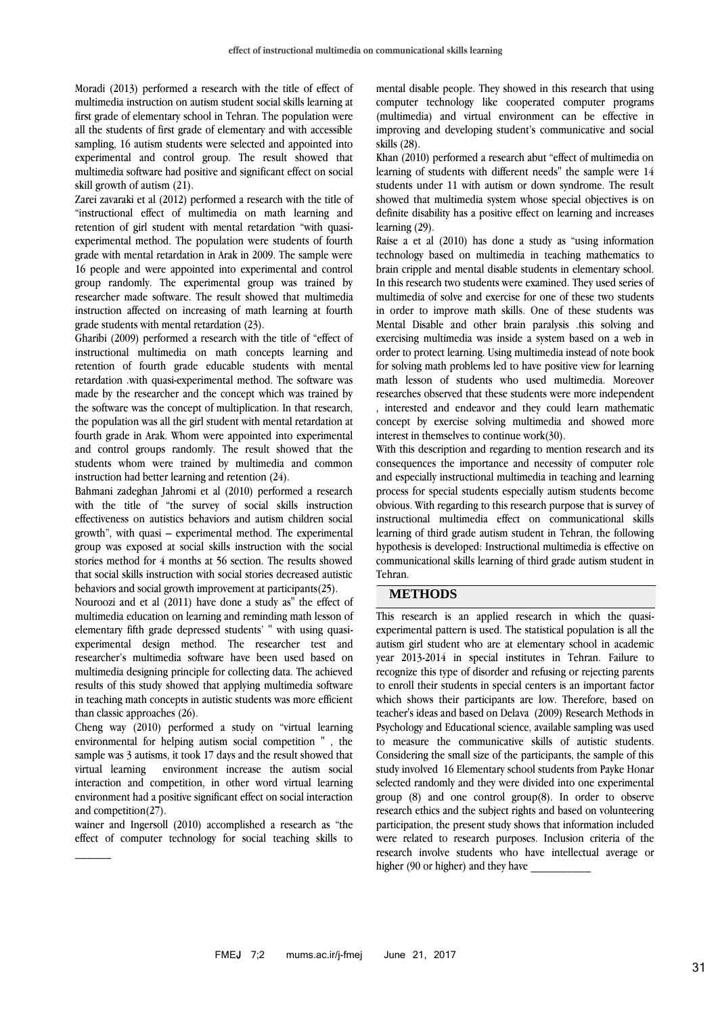Moradi (2013) performed a research with the title of effect of multimedia instruction on autism student social skills learning at first grade of elementary school in Tehran. The population were all the students of first grade of elementary and with accessible sampling, 16 autism students were selected and appointed into experimental and control group. The result showed that multimedia software had positive and significant effect on social skill growth of autism (21).

Zarei zavaraki et al (2012) performed a research with the title of "instructional effect of multimedia on math learning and retention of girl student with mental retardation "with quasiexperimental method. The population were students of fourth grade with mental retardation in Arak in 2009. The sample were 16 people and were appointed into experimental and control group randomly. The experimental group was trained by researcher made software. The result showed that multimedia instruction affected on increasing of math learning at fourth grade students with mental retardation (23).

Gharibi (2009) performed a research with the title of "effect of instructional multimedia on math concepts learning and retention of fourth grade educable students with mental retardation .with quasi-experimental method. The software was made by the researcher and the concept which was trained by the software was the concept of multiplication. In that research, the population was all the girl student with mental retardation at fourth grade in Arak. Whom were appointed into experimental and control groups randomly. The result showed that the students whom were trained by multimedia and common instruction had better learning and retention (24).

Bahmani zadeghan Jahromi et al (2010) performed a research with the title of "the survey of social skills instruction effectiveness on autistics behaviors and autism children social growth", with quasi – experimental method. The experimental group was exposed at social skills instruction with the social stories method for 4 months at 56 section. The results showed that social skills instruction with social stories decreased autistic behaviors and social growth improvement at participants(25).

Nouroozi and et al (2011) have done a study as" the effect of multimedia education on learning and reminding math lesson of elementary fifth grade depressed students' " with using quasiexperimental design method. The researcher test and researcher's multimedia software have been used based on multimedia designing principle for collecting data. The achieved results of this study showed that applying multimedia software in teaching math concepts in autistic students was more efficient than classic approaches (26).

Cheng way (2010) performed a study on "virtual learning environmental for helping autism social competition " , the sample was 3 autisms, it took 17 days and the result showed that virtual learning environment increase the autism social interaction and competition, in other word virtual learning environment had a positive significant effect on social interaction and competition(27).

wainer and Ingersoll (2010) accomplished a research as "the effect of computer technology for social teaching skills to

 $\frac{1}{2}$ 

mental disable people. They showed in this research that using computer technology like cooperated computer programs (multimedia) and virtual environment can be effective in improving and developing student's communicative and social skills (28).

Khan (2010) performed a research abut "effect of multimedia on learning of students with different needs" the sample were 14 students under 11 with autism or down syndrome. The result showed that multimedia system whose special objectives is on definite disability has a positive effect on learning and increases learning (29).

Raise a et al (2010) has done a study as "using information technology based on multimedia in teaching mathematics to brain cripple and mental disable students in elementary school. In this research two students were examined. They used series of multimedia of solve and exercise for one of these two students in order to improve math skills. One of these students was Mental Disable and other brain paralysis .this solving and exercising multimedia was inside a system based on a web in order to protect learning. Using multimedia instead of note book for solving math problems led to have positive view for learning math lesson of students who used multimedia. Moreover researches observed that these students were more independent , interested and endeavor and they could learn mathematic concept by exercise solving multimedia and showed more interest in themselves to continue work(30).

With this description and regarding to mention research and its consequences the importance and necessity of computer role and especially instructional multimedia in teaching and learning process for special students especially autism students become obvious. With regarding to this research purpose that is survey of instructional multimedia effect on communicational skills learning of third grade autism student in Tehran, the following hypothesis is developed: Instructional multimedia is effective on communicational skills learning of third grade autism student in Tehran.

### **METHODS**

This research is an applied research in which the quasiexperimental pattern is used. The statistical population is all the autism girl student who are at elementary school in academic year 2013-2014 in special institutes in Tehran. Failure to recognize this type of disorder and refusing or rejecting parents to enroll their students in special centers is an important factor which shows their participants are low. Therefore, based on teacher's ideas and based on Delava (2009) Research Methods in Psychology and Educational science, available sampling was used to measure the communicative skills of autistic students. Considering the small size of the participants, the sample of this study involved 16 Elementary school students from Payke Honar selected randomly and they were divided into one experimental group (8) and one control group(8). In order to observe research ethics and the subject rights and based on volunteering participation, the present study shows that information included were related to research purposes. Inclusion criteria of the research involve students who have intellectual average or higher (90 or higher) and they have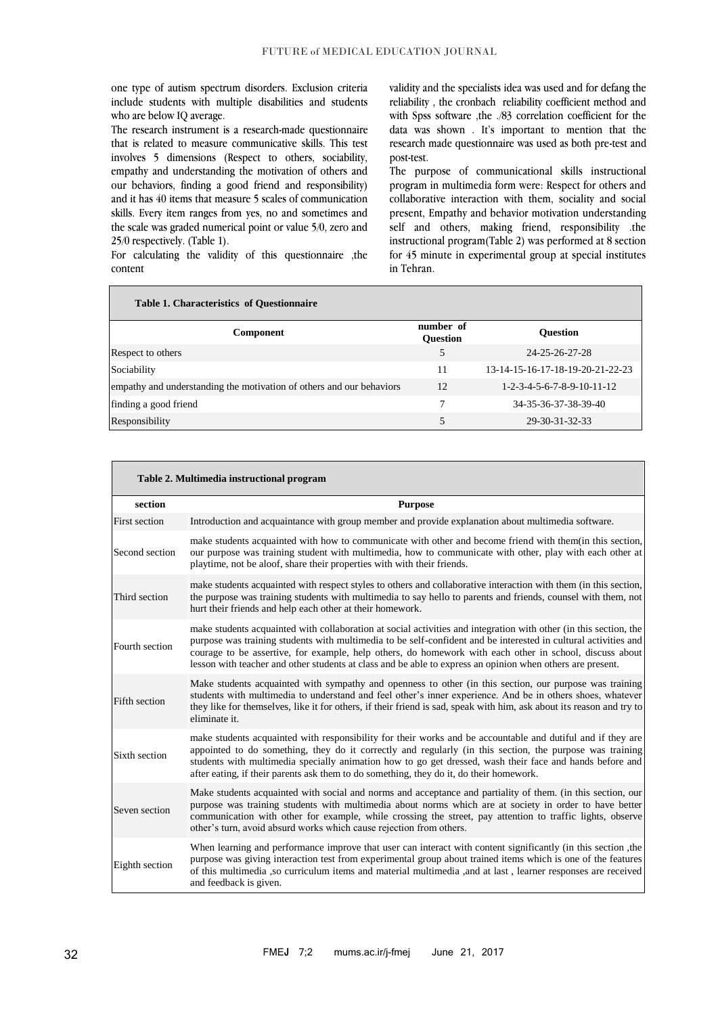one type of autism spectrum disorders. Exclusion criteria include students with multiple disabilities and students who are below IQ average.

The research instrument is a research-made questionnaire that is related to measure communicative skills. This test involves 5 dimensions (Respect to others, sociability, empathy and understanding the motivation of others and our behaviors, finding a good friend and responsibility) and it has 40 items that measure 5 scales of communication skills. Every item ranges from yes, no and sometimes and the scale was graded numerical point or value 5/0, zero and 25/0 respectively. (Table 1).

For calculating the validity of this questionnaire ,the content

validity and the specialists idea was used and for defang the reliability , the cronbach reliability coefficient method and with Spss software ,the ./83 correlation coefficient for the data was shown . It's important to mention that the research made questionnaire was used as both pre-test and post-test.

The purpose of communicational skills instructional program in multimedia form were: Respect for others and collaborative interaction with them, sociality and social present, Empathy and behavior motivation understanding self and others, making friend, responsibility .the instructional program(Table 2) was performed at 8 section for 45 minute in experimental group at special institutes in Tehran.

| <b>Table 1. Characteristics of Questionnaire</b>                     |                              |                                                    |  |  |  |  |  |
|----------------------------------------------------------------------|------------------------------|----------------------------------------------------|--|--|--|--|--|
| Component                                                            | number of<br><b>Ouestion</b> | <b>Ouestion</b>                                    |  |  |  |  |  |
| Respect to others                                                    | 5                            | 24-25-26-27-28                                     |  |  |  |  |  |
| Sociability                                                          | 11                           | 13-14-15-16-17-18-19-20-21-22-23                   |  |  |  |  |  |
| empathy and understanding the motivation of others and our behaviors | 12                           | $1 - 2 - 3 - 4 - 5 - 6 - 7 - 8 - 9 - 10 - 11 - 12$ |  |  |  |  |  |
| finding a good friend                                                |                              | 34-35-36-37-38-39-40                               |  |  |  |  |  |
| Responsibility                                                       | 5                            | 29-30-31-32-33                                     |  |  |  |  |  |

| Table 2. Multimedia instructional program |                                                                                                                                                                                                                                                                                                                                                                                                                                                               |  |  |  |
|-------------------------------------------|---------------------------------------------------------------------------------------------------------------------------------------------------------------------------------------------------------------------------------------------------------------------------------------------------------------------------------------------------------------------------------------------------------------------------------------------------------------|--|--|--|
| section                                   | <b>Purpose</b>                                                                                                                                                                                                                                                                                                                                                                                                                                                |  |  |  |
| First section                             | Introduction and acquaintance with group member and provide explanation about multimedia software.                                                                                                                                                                                                                                                                                                                                                            |  |  |  |
| Second section                            | make students acquainted with how to communicate with other and become friend with them (in this section,<br>our purpose was training student with multimedia, how to communicate with other, play with each other at<br>playtime, not be aloof, share their properties with with their friends.                                                                                                                                                              |  |  |  |
| Third section                             | make students acquainted with respect styles to others and collaborative interaction with them (in this section,<br>the purpose was training students with multimedia to say hello to parents and friends, counsel with them, not<br>hurt their friends and help each other at their homework.                                                                                                                                                                |  |  |  |
| Fourth section                            | make students acquainted with collaboration at social activities and integration with other (in this section, the<br>purpose was training students with multimedia to be self-confident and be interested in cultural activities and<br>courage to be assertive, for example, help others, do homework with each other in school, discuss about<br>lesson with teacher and other students at class and be able to express an opinion when others are present. |  |  |  |
| Fifth section                             | Make students acquainted with sympathy and openness to other (in this section, our purpose was training<br>students with multimedia to understand and feel other's inner experience. And be in others shoes, whatever<br>they like for themselves, like it for others, if their friend is sad, speak with him, ask about its reason and try to<br>eliminate it.                                                                                               |  |  |  |
| Sixth section                             | make students acquainted with responsibility for their works and be accountable and dutiful and if they are<br>appointed to do something, they do it correctly and regularly (in this section, the purpose was training<br>students with multimedia specially animation how to go get dressed, wash their face and hands before and<br>after eating, if their parents ask them to do something, they do it, do their homework.                                |  |  |  |
| Seven section                             | Make students acquainted with social and norms and acceptance and partiality of them. (in this section, our<br>purpose was training students with multimedia about norms which are at society in order to have better<br>communication with other for example, while crossing the street, pay attention to traffic lights, observe<br>other's turn, avoid absurd works which cause rejection from others.                                                     |  |  |  |
| Eighth section                            | When learning and performance improve that user can interact with content significantly (in this section, the<br>purpose was giving interaction test from experimental group about trained items which is one of the features<br>of this multimedia ,so curriculum items and material multimedia ,and at last, learner responses are received<br>and feedback is given.                                                                                       |  |  |  |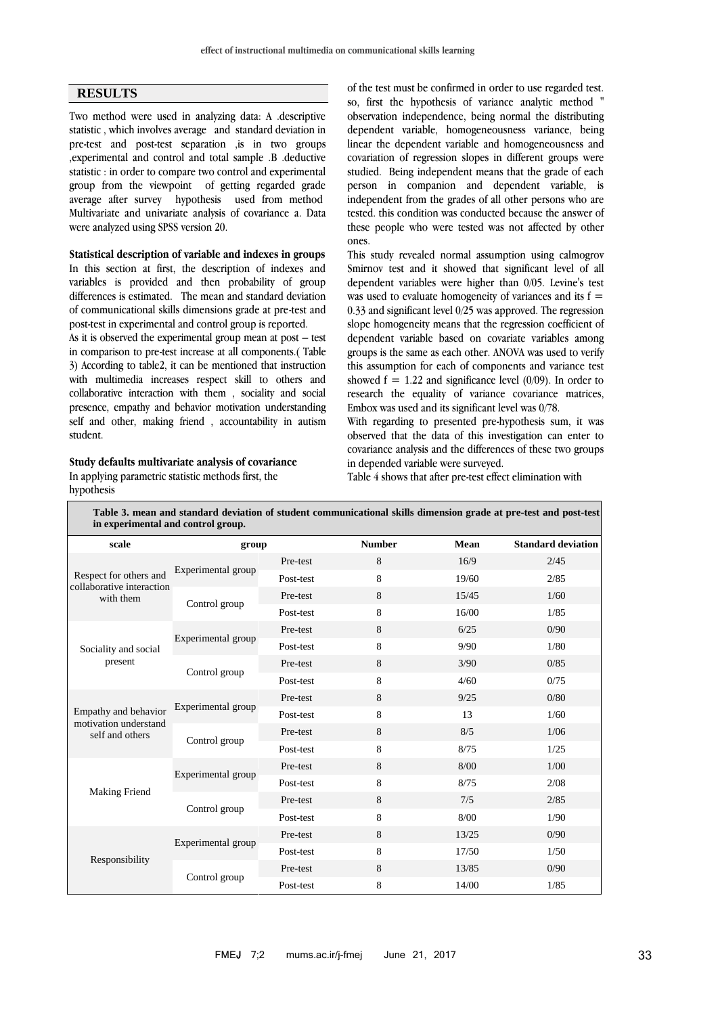# **RESULTS**

Two method were used in analyzing data: A .descriptive statistic , which involves average and standard deviation in pre-test and post-test separation ,is in two groups ,experimental and control and total sample .B .deductive statistic : in order to compare two control and experimental group from the viewpoint of getting regarded grade average after survey hypothesis used from method Multivariate and univariate analysis of covariance a. Data were analyzed using SPSS version 20.

**Statistical description of variable and indexes in groups** In this section at first, the description of indexes and variables is provided and then probability of group differences is estimated. The mean and standard deviation of communicational skills dimensions grade at pre-test and post-test in experimental and control group is reported.

As it is observed the experimental group mean at post – test in comparison to pre-test increase at all components.( Table 3) According to table2, it can be mentioned that instruction with multimedia increases respect skill to others and collaborative interaction with them , sociality and social presence, empathy and behavior motivation understanding self and other, making friend , accountability in autism student.

#### **Study defaults multivariate analysis of covariance**

In applying parametric statistic methods first, the hypothesis

of the test must be confirmed in order to use regarded test. so, first the hypothesis of variance analytic method observation independence, being normal the distributing dependent variable, homogeneousness variance, being linear the dependent variable and homogeneousness and covariation of regression slopes in different groups were studied. Being independent means that the grade of each person in companion and dependent variable, is independent from the grades of all other persons who are tested. this condition was conducted because the answer of these people who were tested was not affected by other ones.

This study revealed normal assumption using calmogrov Smirnov test and it showed that significant level of all dependent variables were higher than 0/05. Levine's test was used to evaluate homogeneity of variances and its  $f =$ 0.33 and significant level 0/25 was approved. The regression slope homogeneity means that the regression coefficient of dependent variable based on covariate variables among groups is the same as each other. ANOVA was used to verify this assumption for each of components and variance test showed  $f = 1.22$  and significance level (0/09). In order to research the equality of variance covariance matrices, Embox was used and its significant level was 0/78.

With regarding to presented pre-hypothesis sum, it was observed that the data of this investigation can enter to covariance analysis and the differences of these two groups in depended variable were surveyed.

Table 4 shows that after pre-test effect elimination with

| Table 3. mean and standard deviation of student communicational skills dimension grade at pre-test and post-test<br>in experimental and control group. |                    |           |               |       |                           |  |  |
|--------------------------------------------------------------------------------------------------------------------------------------------------------|--------------------|-----------|---------------|-------|---------------------------|--|--|
| scale                                                                                                                                                  | group              |           | <b>Number</b> | Mean  | <b>Standard deviation</b> |  |  |
| Respect for others and<br>collaborative interaction<br>with them                                                                                       | Experimental group | Pre-test  | 8             | 16/9  | 2/45                      |  |  |
|                                                                                                                                                        |                    | Post-test | 8             | 19/60 | 2/85                      |  |  |
|                                                                                                                                                        | Control group      | Pre-test  | 8             | 15/45 | 1/60                      |  |  |
|                                                                                                                                                        |                    | Post-test | 8             | 16/00 | 1/85                      |  |  |
| Sociality and social<br>present                                                                                                                        | Experimental group | Pre-test  | 8             | 6/25  | 0/90                      |  |  |
|                                                                                                                                                        |                    | Post-test | 8             | 9/90  | 1/80                      |  |  |
|                                                                                                                                                        | Control group      | Pre-test  | 8             | 3/90  | 0/85                      |  |  |
|                                                                                                                                                        |                    | Post-test | 8             | 4/60  | 0/75                      |  |  |
|                                                                                                                                                        | Experimental group | Pre-test  | 8             | 9/25  | 0/80                      |  |  |
| Empathy and behavior<br>motivation understand                                                                                                          |                    | Post-test | 8             | 13    | 1/60                      |  |  |
| self and others                                                                                                                                        | Control group      | Pre-test  | 8             | 8/5   | 1/06                      |  |  |
|                                                                                                                                                        |                    | Post-test | 8             | 8/75  | 1/25                      |  |  |
|                                                                                                                                                        | Experimental group | Pre-test  | 8             | 8/00  | 1/00                      |  |  |
| <b>Making Friend</b>                                                                                                                                   |                    | Post-test | 8             | 8/75  | 2/08                      |  |  |
|                                                                                                                                                        | Control group      | Pre-test  | 8             | 7/5   | 2/85                      |  |  |
|                                                                                                                                                        |                    | Post-test | 8             | 8/00  | 1/90                      |  |  |
| Responsibility                                                                                                                                         | Experimental group | Pre-test  | 8             | 13/25 | 0/90                      |  |  |
|                                                                                                                                                        |                    | Post-test | 8             | 17/50 | 1/50                      |  |  |
|                                                                                                                                                        | Control group      | Pre-test  | 8             | 13/85 | 0/90                      |  |  |
|                                                                                                                                                        |                    | Post-test | 8             | 14/00 | 1/85                      |  |  |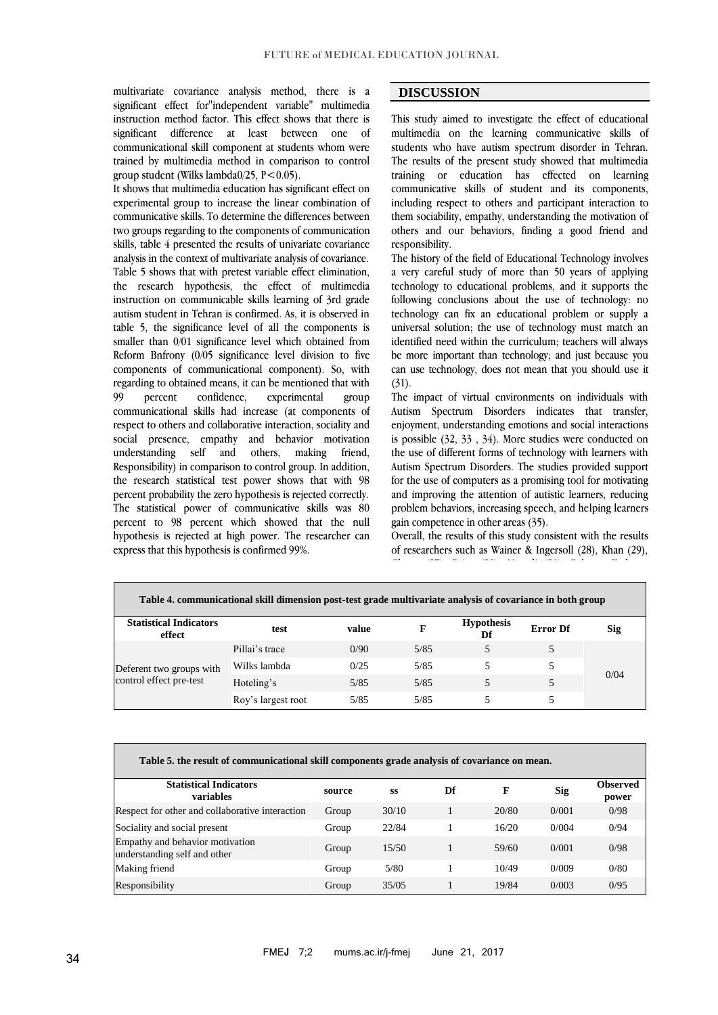multivariate covariance analysis method, there is a significant effect for"independent variable" multimedia instruction method factor. This effect shows that there is significant difference at least between one of communicational skill component at students whom were trained by multimedia method in comparison to control group student (Wilks lambda0/25,  $P < 0.05$ ).

It shows that multimedia education has significant effect on experimental group to increase the linear combination of communicative skills. To determine the differences between two groups regarding to the components of communication skills, table 4 presented the results of univariate covariance analysis in the context of multivariate analysis of covariance. Table 5 shows that with pretest variable effect elimination, the research hypothesis, the effect of multimedia instruction on communicable skills learning of 3rd grade autism student in Tehran is confirmed. As, it is observed in table 5, the significance level of all the components is smaller than 0/01 significance level which obtained from Reform Bnfrony (0/05 significance level division to five components of communicational component). So, with regarding to obtained means, it can be mentioned that with 99 percent confidence, experimental group communicational skills had increase (at components of respect to others and collaborative interaction, sociality and social presence, empathy and behavior motivation understanding self and others, making friend, Responsibility) in comparison to control group. In addition, the research statistical test power shows that with 98 percent probability the zero hypothesis is rejected correctly. The statistical power of communicative skills was 80 percent to 98 percent which showed that the null hypothesis is rejected at high power. The researcher can express that this hypothesis is confirmed 99%.

### **DISCUSSION**

This study aimed to investigate the effect of educational multimedia on the learning communicative skills of students who have autism spectrum disorder in Tehran. The results of the present study showed that multimedia training or education has effected on learning communicative skills of student and its components, including respect to others and participant interaction to them sociability, empathy, understanding the motivation of others and our behaviors, finding a good friend and responsibility.

The history of the field of Educational Technology involves a very careful study of more than 50 years of applying technology to educational problems, and it supports the following conclusions about the use of technology: no technology can fix an educational problem or supply a universal solution; the use of technology must match an identified need within the curriculum; teachers will always be more important than technology; and just because you can use technology, does not mean that you should use it  $(31)$ .

The impact of virtual environments on individuals with Autism Spectrum Disorders indicates that transfer, enjoyment, understanding emotions and social interactions is possible (32, 33 , 34). More studies were conducted on the use of different forms of technology with learners with Autism Spectrum Disorders. The studies provided support for the use of computers as a promising tool for motivating and improving the attention of autistic learners, reducing problem behaviors, increasing speech, and helping learners gain competence in other areas (35).

Overall, the results of this study consistent with the results of researchers such as Wainer & Ingersoll (28), Khan (29), Cheng (27), Raise (30), Moradi (21), Bahman Zadegan

Jahromi et al (25). Also Newton et al(36) Hayes et al(9)

| Table 4. communicational skill dimension post-test grade multivariate analysis of covariance in both group |                    |       |      |                         |                 |      |  |
|------------------------------------------------------------------------------------------------------------|--------------------|-------|------|-------------------------|-----------------|------|--|
| <b>Statistical Indicators</b><br>effect                                                                    | test               | value | F    | <b>Hypothesis</b><br>Df | <b>Error</b> Df | Sig  |  |
| Deferent two groups with<br>control effect pre-test                                                        | Pillai's trace     | 0/90  | 5/85 |                         |                 |      |  |
|                                                                                                            | Wilks lambda       | 0/25  | 5/85 |                         |                 |      |  |
|                                                                                                            | Hoteling's         | 5/85  | 5/85 |                         |                 | 0/04 |  |
|                                                                                                            | Roy's largest root | 5/85  | 5/85 |                         |                 |      |  |

| Table 5. the result of communicational skill components grade analysis of covariance on mean. |        |       |    |       |       |                          |
|-----------------------------------------------------------------------------------------------|--------|-------|----|-------|-------|--------------------------|
| <b>Statistical Indicators</b><br>variables                                                    | source | SS    | Df | F     | Sig   | <b>Observed</b><br>power |
| Respect for other and collaborative interaction                                               | Group  | 30/10 |    | 20/80 | 0/001 | 0/98                     |
| Sociality and social present                                                                  | Group  | 22/84 |    | 16/20 | 0/004 | 0/94                     |
| Empathy and behavior motivation<br>understanding self and other                               | Group  | 15/50 |    | 59/60 | 0/001 | 0/98                     |
| Making friend                                                                                 | Group  | 5/80  |    | 10/49 | 0/009 | 0/80                     |
| Responsibility                                                                                | Group  | 35/05 |    | 19/84 | 0/003 | 0/95                     |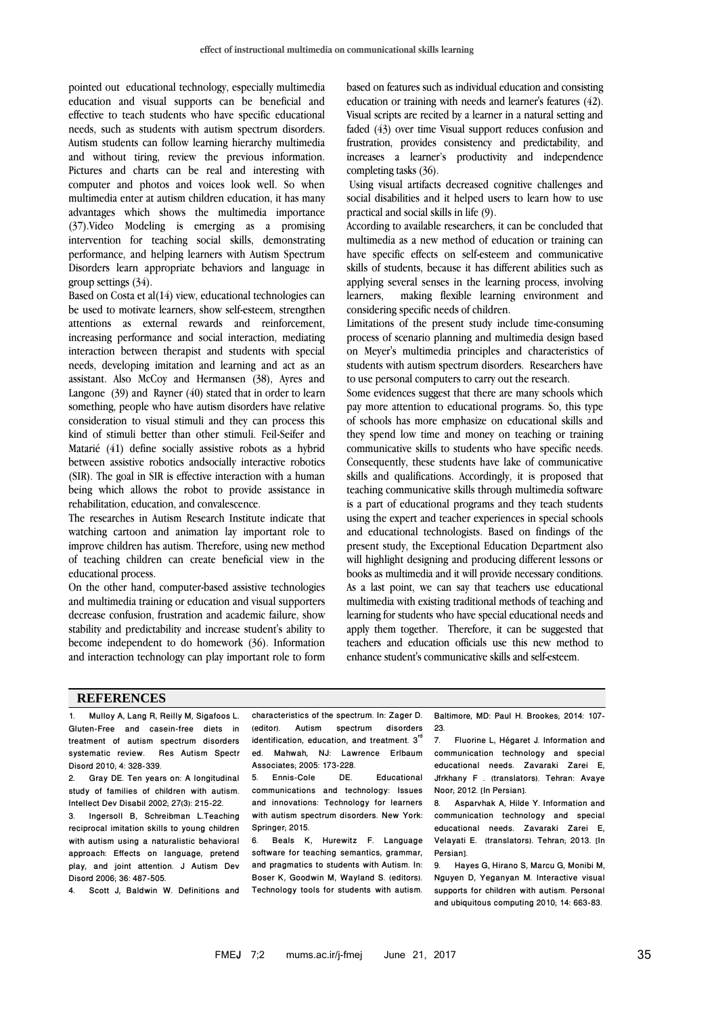pointed out educational technology, especially multimedia education and visual supports can be beneficial and effective to teach students who have specific educational needs, such as students with autism spectrum disorders. Autism students can follow learning hierarchy multimedia and without tiring, review the previous information. Pictures and charts can be real and interesting with computer and photos and voices look well. So when multimedia enter at autism children education, it has many advantages which shows the multimedia importance (37).Video Modeling is emerging as a promising intervention for teaching social skills, demonstrating performance, and helping learners with Autism Spectrum Disorders learn appropriate behaviors and language in group settings (34).

Based on Costa et al(14) view, educational technologies can be used to motivate learners, show self-esteem, strengthen attentions as external rewards and reinforcement, increasing performance and social interaction, mediating interaction between therapist and students with special needs, developing imitation and learning and act as an assistant. Also McCoy and Hermansen (38), Ayres and Langone (39) and Rayner (40) stated that in order to learn something, people who have autism disorders have relative consideration to visual stimuli and they can process this kind of stimuli better than other stimuli. Feil-Seifer and Matarié (41) define socially assistive robots as a hybrid between assistive robotics andsocially interactive robotics (SIR). The goal in SIR is effective interaction with a human being which allows the robot to provide assistance in rehabilitation, education, and convalescence.

The researches in Autism Research Institute indicate that watching cartoon and animation lay important role to improve children has autism. Therefore, using new method of teaching children can create beneficial view in the educational process.

On the other hand, computer-based assistive technologies and multimedia training or education and visual supporters decrease confusion, frustration and academic failure, show stability and predictability and increase student's ability to become independent to do homework (36). Information and interaction technology can play important role to form based on features such as individual education and consisting education or training with needs and learner's features (42). Visual scripts are recited by a learner in a natural setting and faded (43) over time Visual support reduces confusion and frustration, provides consistency and predictability, and increases a learner's productivity and independence completing tasks (36).

Using visual artifacts decreased cognitive challenges and social disabilities and it helped users to learn how to use practical and social skills in life (9).

According to available researchers, it can be concluded that multimedia as a new method of education or training can have specific effects on self-esteem and communicative skills of students, because it has different abilities such as applying several senses in the learning process, involving learners, making flexible learning environment and considering specific needs of children.

Limitations of the present study include time-consuming process of scenario planning and multimedia design based on Meyer's multimedia principles and characteristics of students with autism spectrum disorders. Researchers have to use personal computers to carry out the research.

Some evidences suggest that there are many schools which pay more attention to educational programs. So, this type of schools has more emphasize on educational skills and they spend low time and money on teaching or training communicative skills to students who have specific needs. Consequently, these students have lake of communicative skills and qualifications. Accordingly, it is proposed that teaching communicative skills through multimedia software is a part of educational programs and they teach students using the expert and teacher experiences in special schools and educational technologists. Based on findings of the present study, the Exceptional Education Department also will highlight designing and producing different lessons or books as multimedia and it will provide necessary conditions. As a last point, we can say that teachers use educational multimedia with existing traditional methods of teaching and learning for students who have special educational needs and apply them together. Therefore, it can be suggested that teachers and education officials use this new method to enhance student's communicative skills and self-esteem.

#### **REFERENCES**

 $\overline{\phantom{a}}$ 

1. Mulloy A, Lang R, Reilly M, Sigafoos L. Gluten-Free and casein-free diets in treatment of autism spectrum disorders systematic review. Res Autism Spectr Disord 2010; 4: 328-339.

2. Gray DE. Ten years on: A longitudinal study of families of children with autism. Intellect Dev Disabil 2002; 27(3): 215-22.

3. Ingersoll B, Schreibman L.Teaching reciprocal imitation skills to young children with autism using a naturalistic behavioral approach: Effects on language, pretend play, and joint attention. J Autism Dev Disord 2006; 36: 487-505.

4. Scott J, Baldwin W. Definitions and

characteristics of the spectrum. In: Zager D.<br>(editor). Autism spectrum disorders Autism spectrum disorders identification, education, and treatment.  $3<sup>''</sup>$ ed. Mahwah, NJ: Lawrence Erlbaum Associates; 2005: 173-228.

**Educational** communications and technology: Issues and innovations: Technology for learners with autism spectrum disorders. New York: Springer: 2015

6. Beals K, Hurewitz F. Language software for teaching semantics, grammar, and pragmatics to students with Autism. In: Boser K, Goodwin M, Wayland S. (editors). Technology tools for students with autism. Baltimore, MD: Paul H. Brookes; 2014: 107-  $23.7$ 

7. Fluorine L, Hégaret J. Information and communication technology and special educational needs. Zavaraki Zarei E, Jfrkhany F . (translators). Tehran: Avaye Noor; 2012. [In Persian].

8. Asparvhak A, Hilde Y. Information and communication technology and special educational needs. Zavaraki Zarei E, Velayati E. (translators). Tehran; 2013. [In Persian].

9. Hayes G, Hirano S, Marcu G, Monibi M, Nguyen D, Yeganyan M. Interactive visual supports for children with autism. Personal and ubiquitous computing 2010; 14: 663-83.